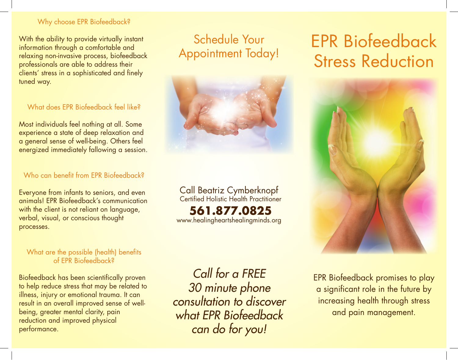### Why choose EPR Biofeedback?

With the ability to provide virtually instant information through a comfortable and relaxing non-invasive process, biofeedback professionals are able to address their clients' stress in a sophisticated and finely tuned way.

### What does EPR Biofeedback feel like?

Most individuals feel nothing at all. Some experience a state of deep relaxation and a general sense of well-being. Others feel energized immediately fallowing a session.

## Who can benefit from EPR Biofeedback?

Everyone from infants to seniors, and even animals! EPR Biofeedback's communication with the client is not reliant on language, verbal, visual, or conscious thought processes.

### What are the possible (health) benefits of EPR Biofeedback?

Biofeedback has been scientifically proven to help reduce stress that may be related to illness, injury or emotional trauma. It can result in an overall improved sense of wellbeing, greater mental clarity, pain reduction and improved physical performance.

# Schedule Your Appointment Today!



Call Beatriz Cymberknopf Certified Holistic Health Practitioner

**561.877.0825** www.healingheartshealingminds.org

*Call for a FREE 30 minute phone consultation to discover what EPR Biofeedback can do for you!*

# EPR Biofeedback Stress Reduction



EPR Biofeedback promises to play a significant role in the future by increasing health through stress and pain management.